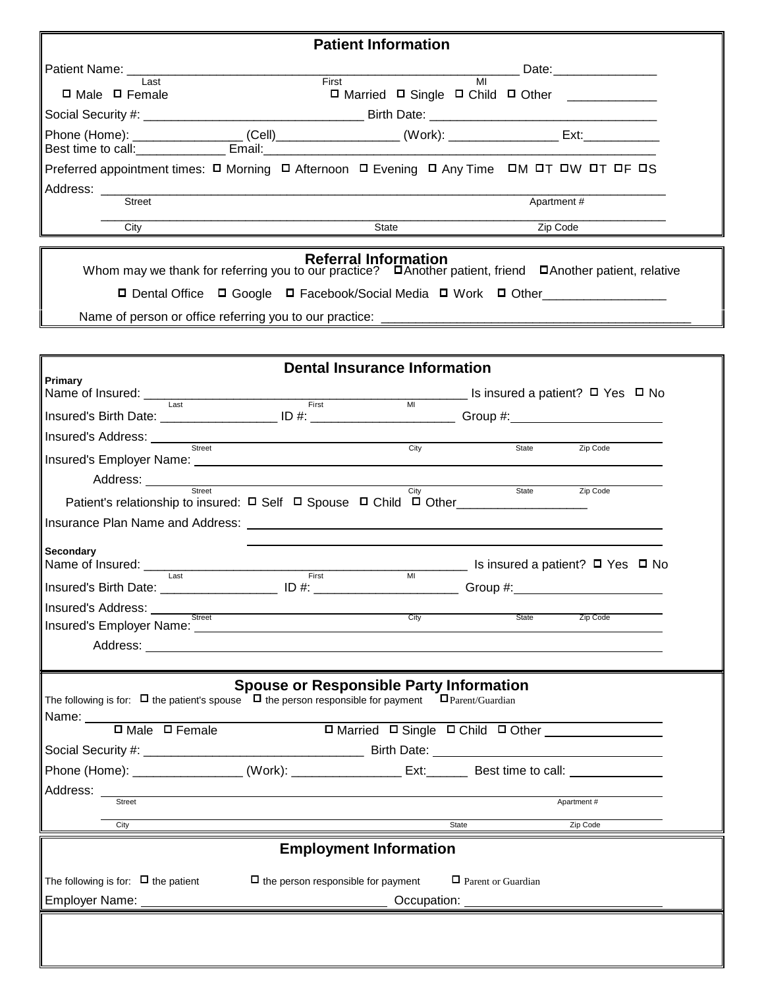|                                                                                                                                                                                                     | <b>Patient Information</b>                                                                                           |                                                                                                          |
|-----------------------------------------------------------------------------------------------------------------------------------------------------------------------------------------------------|----------------------------------------------------------------------------------------------------------------------|----------------------------------------------------------------------------------------------------------|
| Patient Name: ________________                                                                                                                                                                      |                                                                                                                      |                                                                                                          |
| I ast<br>$\Box$ Male $\Box$ Female                                                                                                                                                                  | First                                                                                                                | MI<br>□ Married □ Single □ Child □ Other ____________                                                    |
|                                                                                                                                                                                                     |                                                                                                                      |                                                                                                          |
| Phone (Home): _______________________(Cell)______________________(Work): _____________________Ext:_____________<br>Best time to call: __________________ Email: ___________________________________ |                                                                                                                      |                                                                                                          |
| Preferred appointment times: O Morning O Afternoon O Evening O Any Time OM OT OW OT OF OS                                                                                                           |                                                                                                                      |                                                                                                          |
| Address: ________<br><b>Street</b>                                                                                                                                                                  |                                                                                                                      |                                                                                                          |
|                                                                                                                                                                                                     |                                                                                                                      | Apartment #                                                                                              |
| City                                                                                                                                                                                                | State                                                                                                                | Zip Code                                                                                                 |
|                                                                                                                                                                                                     | <b>Referral Information</b>                                                                                          | Whom may we thank for referring you to our practice? DAnother patient, friend DAnother patient, relative |
|                                                                                                                                                                                                     |                                                                                                                      | □ Dental Office □ Google □ Facebook/Social Media □ Work □ Other________________                          |
|                                                                                                                                                                                                     |                                                                                                                      |                                                                                                          |
|                                                                                                                                                                                                     |                                                                                                                      |                                                                                                          |
|                                                                                                                                                                                                     | <b>Dental Insurance Information</b>                                                                                  |                                                                                                          |
| Primary                                                                                                                                                                                             |                                                                                                                      |                                                                                                          |
| Name of Insured: Last<br>Insured's Birth Date: ______________________ ID #: ___________________________Group #: _______________________                                                             | First                                                                                                                | Is insured a patient? $\Box$ Yes $\Box$ No                                                               |
| Insured's Address: ________                                                                                                                                                                         | <u> 1980 - Johann Barn, mars ann an t-Amhain Aonaich an t-Aonaich an t-Aonaich ann an t-Aonaich ann an t-Aonaich</u> |                                                                                                          |
| Street                                                                                                                                                                                              | City                                                                                                                 | State<br>Zip Code                                                                                        |
|                                                                                                                                                                                                     |                                                                                                                      |                                                                                                          |
| Address: <u>street street and the street</u><br>Patient's relationship to insured: $\Box$ Self $\Box$ Spouse $\Box$ Child $\Box$ Other______________________                                        | City                                                                                                                 | State<br>Zip Code                                                                                        |
|                                                                                                                                                                                                     |                                                                                                                      |                                                                                                          |
| Secondary<br>Name of Insured: ____<br>the contract of the contract of the contract of                                                                                                               |                                                                                                                      | ■ Is insured a patient? □ Yes □ No                                                                       |
| Last<br>Insured's Birth Date: _________________________ ID #: ___________________________ Group #:_________                                                                                         | M <sub>l</sub><br>First                                                                                              |                                                                                                          |
|                                                                                                                                                                                                     |                                                                                                                      |                                                                                                          |
| Insured's Address: <u>street and the street of the state of the state of the state</u>                                                                                                              |                                                                                                                      | Zip Code                                                                                                 |
|                                                                                                                                                                                                     |                                                                                                                      |                                                                                                          |
|                                                                                                                                                                                                     |                                                                                                                      |                                                                                                          |
| The following is for: $\Box$ the patient's spouse $\Box$ the person responsible for payment $\Box$ Parent/Guardian                                                                                  | <b>Spouse or Responsible Party Information</b>                                                                       |                                                                                                          |
| Name:<br>D Male D Female                                                                                                                                                                            |                                                                                                                      | D Married D Single D Child D Other                                                                       |
|                                                                                                                                                                                                     |                                                                                                                      |                                                                                                          |
| Phone (Home): ___________________(Work): ____________________ Ext: ______________ Best time to call: __________________________________                                                             |                                                                                                                      |                                                                                                          |
| Street                                                                                                                                                                                              |                                                                                                                      | Apartment #                                                                                              |
|                                                                                                                                                                                                     |                                                                                                                      |                                                                                                          |
| City                                                                                                                                                                                                |                                                                                                                      | Zip Code<br>State                                                                                        |
|                                                                                                                                                                                                     | <b>Employment Information</b>                                                                                        |                                                                                                          |
| The following is for: $\Box$ the patient                                                                                                                                                            | $\Box$ the person responsible for payment                                                                            | $\Box$ Parent or Guardian                                                                                |
|                                                                                                                                                                                                     |                                                                                                                      |                                                                                                          |
|                                                                                                                                                                                                     |                                                                                                                      |                                                                                                          |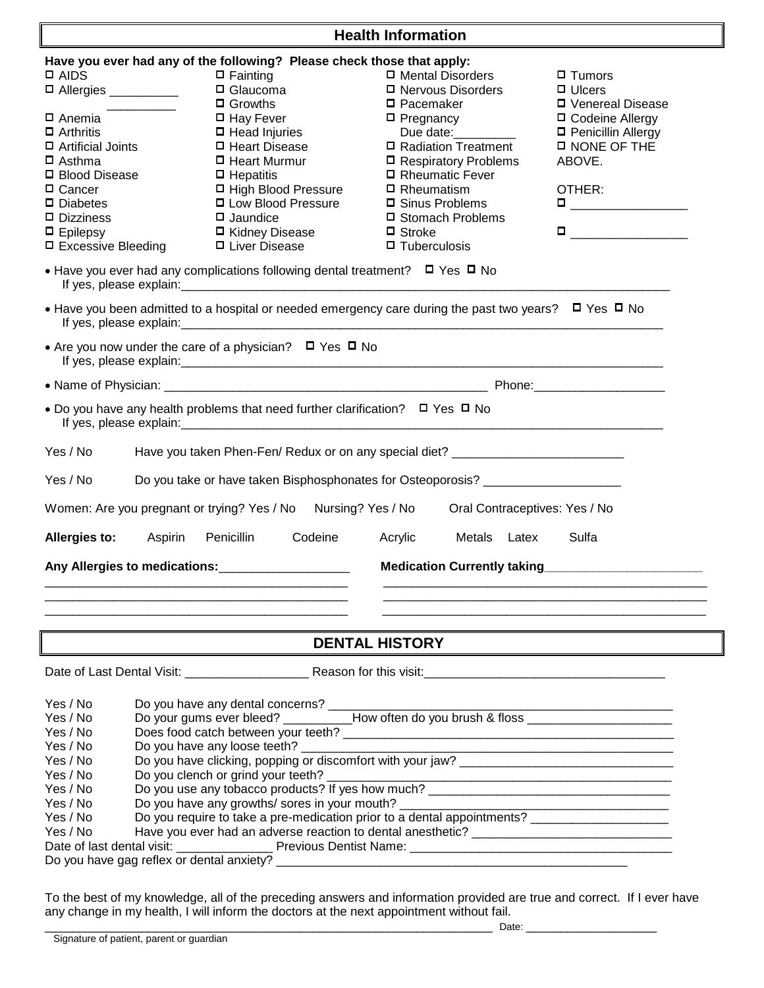|                                                                                                                                                                                                                         |                                                                                                                                                                                                                                                                                                             | <b>Health Information</b>                                                                                                                                                                                    |                                                                                                                                                                                                                                                                                                                                                                                                                                                                                                                     |  |
|-------------------------------------------------------------------------------------------------------------------------------------------------------------------------------------------------------------------------|-------------------------------------------------------------------------------------------------------------------------------------------------------------------------------------------------------------------------------------------------------------------------------------------------------------|--------------------------------------------------------------------------------------------------------------------------------------------------------------------------------------------------------------|---------------------------------------------------------------------------------------------------------------------------------------------------------------------------------------------------------------------------------------------------------------------------------------------------------------------------------------------------------------------------------------------------------------------------------------------------------------------------------------------------------------------|--|
|                                                                                                                                                                                                                         | Have you ever had any of the following? Please check those that apply:                                                                                                                                                                                                                                      |                                                                                                                                                                                                              |                                                                                                                                                                                                                                                                                                                                                                                                                                                                                                                     |  |
| $\square$ AIDS<br>D Allergies __________                                                                                                                                                                                | $\Box$ Fainting<br>$\Box$ Glaucoma<br>$\Box$ Growths                                                                                                                                                                                                                                                        | □ Mental Disorders<br>□ Nervous Disorders<br>$\square$ Pacemaker                                                                                                                                             | $\blacksquare$ Tumors<br>$\Box$ Ulcers<br><b>D</b> Venereal Disease                                                                                                                                                                                                                                                                                                                                                                                                                                                 |  |
| <b>□</b> Anemia<br>$\Box$ Arthritis<br>□ Artificial Joints<br>$\Box$ Asthma<br>□ Blood Disease<br>□ Cancer<br>$\Box$ Diabetes<br>$\Box$ Dizziness<br>$\Box$ Epilepsy<br>□ Excessive Bleeding<br>If yes, please explain: | $\Box$ Hay Fever<br>$\Box$ Head Injuries<br>□ Heart Disease<br>$\Box$ Heart Murmur<br>$\Box$ Hepatitis<br>□ High Blood Pressure<br>□ Low Blood Pressure<br>$\Box$ Jaundice<br>□ Kidney Disease<br>□ Liver Disease<br>• Have you ever had any complications following dental treatment? $\Box$ Yes $\Box$ No | $\Box$ Pregnancy<br>Due date:<br>□ Radiation Treatment<br>□ Respiratory Problems<br>□ Rheumatic Fever<br>$\Box$ Rheumatism<br>□ Sinus Problems<br>□ Stomach Problems<br>$\Box$ Stroke<br>$\Box$ Tuberculosis | □ Codeine Allergy<br>□ Penicillin Allergy<br><b>D NONE OF THE</b><br>ABOVE.<br>OTHER:<br>$\begin{tabular}{ c c c c } \hline \quad \quad & \quad \quad & \quad \quad & \quad \quad \\ \hline \quad \quad & \quad \quad & \quad \quad & \quad \quad \\ \hline \end{tabular}$<br>$\blacksquare$ . The set of the set of the set of the set of the set of the set of the set of the set of the set of the set of the set of the set of the set of the set of the set of the set of the set of the set of the set of the |  |
| • Have you been admitted to a hospital or needed emergency care during the past two years? $\Box$ Yes $\Box$ No                                                                                                         |                                                                                                                                                                                                                                                                                                             |                                                                                                                                                                                                              |                                                                                                                                                                                                                                                                                                                                                                                                                                                                                                                     |  |
|                                                                                                                                                                                                                         | • Are you now under the care of a physician? $\Box$ Yes $\Box$ No                                                                                                                                                                                                                                           |                                                                                                                                                                                                              |                                                                                                                                                                                                                                                                                                                                                                                                                                                                                                                     |  |
|                                                                                                                                                                                                                         |                                                                                                                                                                                                                                                                                                             |                                                                                                                                                                                                              |                                                                                                                                                                                                                                                                                                                                                                                                                                                                                                                     |  |
| • Do you have any health problems that need further clarification? $\Box$ Yes $\Box$ No                                                                                                                                 |                                                                                                                                                                                                                                                                                                             |                                                                                                                                                                                                              |                                                                                                                                                                                                                                                                                                                                                                                                                                                                                                                     |  |
| Yes / No                                                                                                                                                                                                                |                                                                                                                                                                                                                                                                                                             | Have you taken Phen-Fen/ Redux or on any special diet? _________________________                                                                                                                             |                                                                                                                                                                                                                                                                                                                                                                                                                                                                                                                     |  |
| Yes / No<br>Do you take or have taken Bisphosphonates for Osteoporosis? ____________________                                                                                                                            |                                                                                                                                                                                                                                                                                                             |                                                                                                                                                                                                              |                                                                                                                                                                                                                                                                                                                                                                                                                                                                                                                     |  |
| Women: Are you pregnant or trying? Yes / No                                                                                                                                                                             | Nursing? Yes / No                                                                                                                                                                                                                                                                                           | Oral Contraceptives: Yes / No                                                                                                                                                                                |                                                                                                                                                                                                                                                                                                                                                                                                                                                                                                                     |  |
| <b>Allergies to:</b><br>Aspirin                                                                                                                                                                                         | Penicillin<br>Codeine                                                                                                                                                                                                                                                                                       | Acrylic<br>Metals Latex                                                                                                                                                                                      | Sulfa                                                                                                                                                                                                                                                                                                                                                                                                                                                                                                               |  |
|                                                                                                                                                                                                                         | Any Allergies to medications: ________________________                                                                                                                                                                                                                                                      | Medication Currently taking Medication Currently taking                                                                                                                                                      |                                                                                                                                                                                                                                                                                                                                                                                                                                                                                                                     |  |
|                                                                                                                                                                                                                         |                                                                                                                                                                                                                                                                                                             | <b>DENTAL HISTORY</b>                                                                                                                                                                                        |                                                                                                                                                                                                                                                                                                                                                                                                                                                                                                                     |  |

Date of Last Dental Visit: \_\_\_\_\_\_\_\_\_\_\_\_\_\_\_\_\_\_ Reason for this visit:\_\_\_\_\_\_\_\_\_\_\_\_\_\_\_\_\_\_\_\_\_\_\_\_\_\_\_\_\_\_\_\_\_\_\_

| Yes / No                                          |                                                                           |  |  |
|---------------------------------------------------|---------------------------------------------------------------------------|--|--|
|                                                   | Do you have any dental concerns?                                          |  |  |
| Yes / No                                          | Do your gums ever bleed? _____________How often do you brush & floss ____ |  |  |
| Yes / No                                          | Does food catch between your teeth?                                       |  |  |
| Yes / No                                          | Do you have any loose teeth?                                              |  |  |
| Yes / No                                          | Do you have clicking, popping or discomfort with your jaw?                |  |  |
| Yes / No                                          | Do you clench or grind your teeth?                                        |  |  |
| Yes / No                                          | Do you use any tobacco products? If yes how much?                         |  |  |
| Yes / No                                          | Do you have any growths/ sores in your mouth?                             |  |  |
| Yes / No                                          | Do you require to take a pre-medication prior to a dental appointments?   |  |  |
| Yes / No                                          | Have you ever had an adverse reaction to dental anesthetic?               |  |  |
| Date of last dental visit: Previous Dentist Name: |                                                                           |  |  |
| Do you have gag reflex or dental anxiety?         |                                                                           |  |  |

To the best of my knowledge, all of the preceding answers and information provided are true and correct. If I ever have any change in my health, I will inform the doctors at the next appointment without fail. \_\_\_\_\_\_\_\_\_\_\_\_\_\_\_\_\_\_\_\_\_\_\_\_\_\_\_\_\_\_\_\_\_\_\_\_\_\_\_\_\_\_\_\_\_\_\_\_\_\_\_\_\_\_\_\_\_\_\_\_\_\_\_\_\_ Date: \_\_\_\_\_\_\_\_\_\_\_\_\_\_\_\_\_\_\_

lī